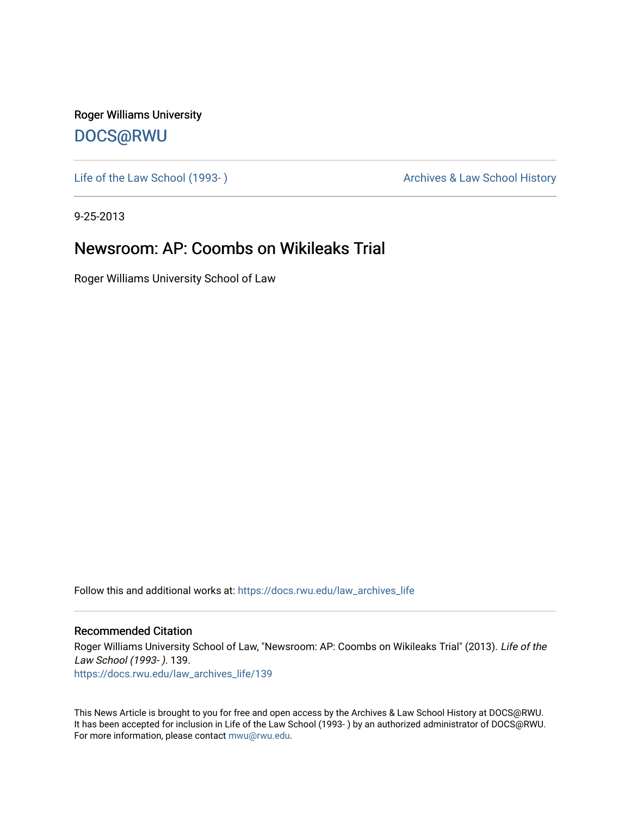Roger Williams University [DOCS@RWU](https://docs.rwu.edu/)

Life of the Law School (1993-) and the Law School History Archives & Law School History

9-25-2013

## Newsroom: AP: Coombs on Wikileaks Trial

Roger Williams University School of Law

Follow this and additional works at: [https://docs.rwu.edu/law\\_archives\\_life](https://docs.rwu.edu/law_archives_life?utm_source=docs.rwu.edu%2Flaw_archives_life%2F139&utm_medium=PDF&utm_campaign=PDFCoverPages)

## Recommended Citation

Roger Williams University School of Law, "Newsroom: AP: Coombs on Wikileaks Trial" (2013). Life of the Law School (1993- ). 139. [https://docs.rwu.edu/law\\_archives\\_life/139](https://docs.rwu.edu/law_archives_life/139?utm_source=docs.rwu.edu%2Flaw_archives_life%2F139&utm_medium=PDF&utm_campaign=PDFCoverPages)

This News Article is brought to you for free and open access by the Archives & Law School History at DOCS@RWU. It has been accepted for inclusion in Life of the Law School (1993- ) by an authorized administrator of DOCS@RWU. For more information, please contact [mwu@rwu.edu](mailto:mwu@rwu.edu).